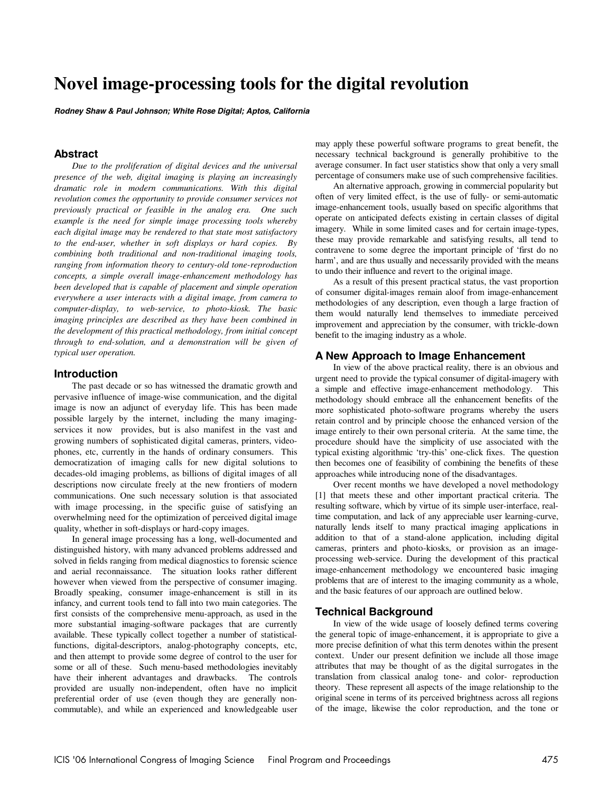# **Novel image-processing tools for the digital revolution**

**Rodney Shaw & Paul Johnson; White Rose Digital; Aptos, California**

## **Abstract**

*Due to the proliferation of digital devices and the universal presence of the web, digital imaging is playing an increasingly dramatic role in modern communications. With this digital revolution comes the opportunity to provide consumer services not previously practical or feasible in the analog era. One such example is the need for simple image processing tools whereby each digital image may be rendered to that state most satisfactory to the end-user, whether in soft displays or hard copies. By combining both traditional and non-traditional imaging tools, ranging from information theory to century-old tone-reproduction concepts, a simple overall image-enhancement methodology has been developed that is capable of placement and simple operation everywhere a user interacts with a digital image, from camera to computer-display, to web-service, to photo-kiosk. The basic imaging principles are described as they have been combined in the development of this practical methodology, from initial concept through to end-solution, and a demonstration will be given of typical user operation.* 

### **Introduction**

The past decade or so has witnessed the dramatic growth and pervasive influence of image-wise communication, and the digital image is now an adjunct of everyday life. This has been made possible largely by the internet, including the many imagingservices it now provides, but is also manifest in the vast and growing numbers of sophisticated digital cameras, printers, videophones, etc, currently in the hands of ordinary consumers. This democratization of imaging calls for new digital solutions to decades-old imaging problems, as billions of digital images of all descriptions now circulate freely at the new frontiers of modern communications. One such necessary solution is that associated with image processing, in the specific guise of satisfying an overwhelming need for the optimization of perceived digital image quality, whether in soft-displays or hard-copy images.

In general image processing has a long, well-documented and distinguished history, with many advanced problems addressed and solved in fields ranging from medical diagnostics to forensic science and aerial reconnaissance. The situation looks rather different however when viewed from the perspective of consumer imaging. Broadly speaking, consumer image-enhancement is still in its infancy, and current tools tend to fall into two main categories. The first consists of the comprehensive menu-approach, as used in the more substantial imaging-software packages that are currently available. These typically collect together a number of statisticalfunctions, digital-descriptors, analog-photography concepts, etc, and then attempt to provide some degree of control to the user for some or all of these. Such menu-based methodologies inevitably have their inherent advantages and drawbacks. The controls provided are usually non-independent, often have no implicit preferential order of use (even though they are generally noncommutable), and while an experienced and knowledgeable user may apply these powerful software programs to great benefit, the necessary technical background is generally prohibitive to the average consumer. In fact user statistics show that only a very small percentage of consumers make use of such comprehensive facilities.

An alternative approach, growing in commercial popularity but often of very limited effect, is the use of fully- or semi-automatic image-enhancement tools, usually based on specific algorithms that operate on anticipated defects existing in certain classes of digital imagery. While in some limited cases and for certain image-types, these may provide remarkable and satisfying results, all tend to contravene to some degree the important principle of 'first do no harm', and are thus usually and necessarily provided with the means to undo their influence and revert to the original image.

As a result of this present practical status, the vast proportion of consumer digital-images remain aloof from image-enhancement methodologies of any description, even though a large fraction of them would naturally lend themselves to immediate perceived improvement and appreciation by the consumer, with trickle-down benefit to the imaging industry as a whole.

#### **A New Approach to Image Enhancement**

In view of the above practical reality, there is an obvious and urgent need to provide the typical consumer of digital-imagery with a simple and effective image-enhancement methodology. This methodology should embrace all the enhancement benefits of the more sophisticated photo-software programs whereby the users retain control and by principle choose the enhanced version of the image entirely to their own personal criteria. At the same time, the procedure should have the simplicity of use associated with the typical existing algorithmic 'try-this' one-click fixes. The question then becomes one of feasibility of combining the benefits of these approaches while introducing none of the disadvantages.

Over recent months we have developed a novel methodology [1] that meets these and other important practical criteria. The resulting software, which by virtue of its simple user-interface, realtime computation, and lack of any appreciable user learning-curve, naturally lends itself to many practical imaging applications in addition to that of a stand-alone application, including digital cameras, printers and photo-kiosks, or provision as an imageprocessing web-service. During the development of this practical image-enhancement methodology we encountered basic imaging problems that are of interest to the imaging community as a whole, and the basic features of our approach are outlined below.

#### **Technical Background**

In view of the wide usage of loosely defined terms covering the general topic of image-enhancement, it is appropriate to give a more precise definition of what this term denotes within the present context. Under our present definition we include all those image attributes that may be thought of as the digital surrogates in the translation from classical analog tone- and color- reproduction theory. These represent all aspects of the image relationship to the original scene in terms of its perceived brightness across all regions of the image, likewise the color reproduction, and the tone or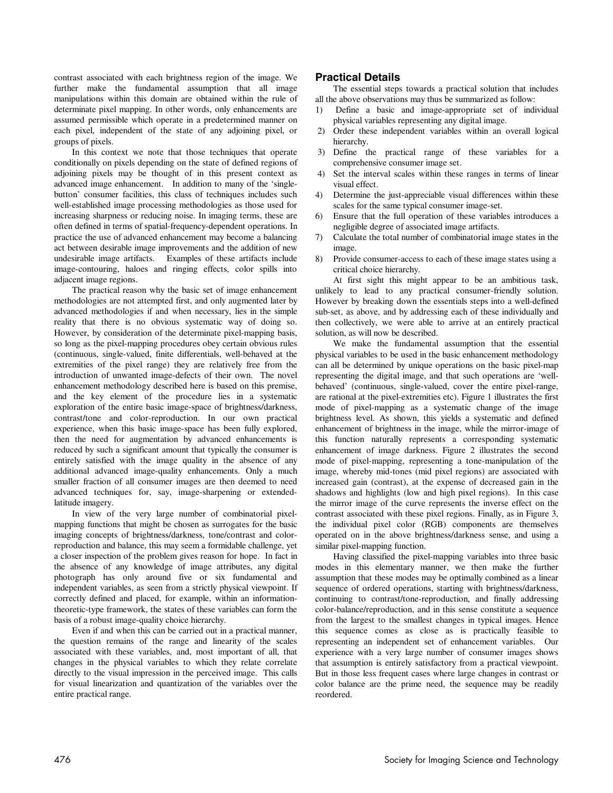contrast associated with each brightness region of the image. We further make the fundamental assumption that all image manipulations within this domain are obtained within the rule of determinate pixel mapping. In other words, only enhancements are assumed permissible which operate in a predetermined manner on each pixel, independent of the state of any adjoining pixel, or groups of pixels.

In this context we note that those techniques that operate conditionally on pixels depending on the state of defined regions of adjoining pixels may be thought of in this present context as advanced image enhancement. In addition to many of the 'singlebutton' consumer facilities, this class of techniques includes such well-established image processing methodologies as those used for increasing sharpness or reducing noise. In imaging terms, these are often defined in terms of spatial-frequency-dependent operations. In practice the use of advanced enhancement may become a balancing act between desirable image improvements and the addition of new undesirable image artifacts. Examples of these artifacts include image-contouring, haloes and ringing effects, color spills into adjacent image regions.

The practical reason why the basic set of image enhancement methodologies are not attempted first, and only augmented later by advanced methodologies if and when necessary, lies in the simple reality that there is no obvious systematic way of doing so. However, by consideration of the determinate pixel-mapping basis, so long as the pixel-mapping procedures obey certain obvious rules (continuous, single-valued, finite differentials, well-behaved at the extremities of the pixel range) they are relatively free from the introduction of unwanted image-defects of their own. The novel enhancement methodology described here is based on this premise, and the key element of the procedure lies in a systematic exploration of the entire basic image-space of brightness/darkness, contrast/tone and color-reproduction. In our own practical experience, when this basic image-space has been fully explored, then the need for augmentation by advanced enhancements is reduced by such a significant amount that typically the consumer is entirely satisfied with the image quality in the absence of any additional advanced image-quality enhancements. Only a much smaller fraction of all consumer images are then deemed to need advanced techniques for, say, image-sharpening or extendedlatitude imagery.

In view of the very large number of combinatorial pixelmapping functions that might be chosen as surrogates for the basic imaging concepts of brightness/darkness, tone/contrast and colorreproduction and balance, this may seem a formidable challenge, yet a closer inspection of the problem gives reason for hope. In fact in the absence of any knowledge of image attributes, any digital photograph has only around five or six fundamental and independent variables, as seen from a strictly physical viewpoint. If correctly defined and placed, for example, within an informationtheoretic-type framework, the states of these variables can form the basis of a robust image-quality choice hierarchy.

Even if and when this can be carried out in a practical manner, the question remains of the range and linearity of the scales associated with these variables, and, most important of all, that changes in the physical variables to which they relate correlate directly to the visual impression in the perceived image. This calls for visual linearization and quantization of the variables over the entire practical range.

# **Practical Details**

The essential steps towards a practical solution that includes all the above observations may thus be summarized as follow:

- 1) Define a basic and image-appropriate set of individual physical variables representing any digital image.
- 2) Order these independent variables within an overall logical hierarchy.
- 3) Define the practical range of these variables for a comprehensive consumer image set.
- 4) Set the interval scales within these ranges in terms of linear visual effect.
- 4) Determine the just-appreciable visual differences within these scales for the same typical consumer image-set.
- 6) Ensure that the full operation of these variables introduces a negligible degree of associated image artifacts.
- 7) Calculate the total number of combinatorial image states in the image.
- 8) Provide consumer-access to each of these image states using a critical choice hierarchy.

At first sight this might appear to be an ambitious task, unlikely to lead to any practical consumer-friendly solution. However by breaking down the essentials steps into a well-defined sub-set, as above, and by addressing each of these individually and then collectively, we were able to arrive at an entirely practical solution, as will now be described.

We make the fundamental assumption that the essential physical variables to be used in the basic enhancement methodology can all be determined by unique operations on the basic pixel-map representing the digital image, and that such operations are 'wellbehaved' (continuous, single-valued, cover the entire pixel-range, are rational at the pixel-extremities etc). Figure 1 illustrates the first mode of pixel-mapping as a systematic change of the image brightness level. As shown, this yields a systematic and defined enhancement of brightness in the image, while the mirror-image of this function naturally represents a corresponding systematic enhancement of image darkness. Figure 2 illustrates the second mode of pixel-mapping, representing a tone-manipulation of the image, whereby mid-tones (mid pixel regions) are associated with increased gain (contrast), at the expense of decreased gain in the shadows and highlights (low and high pixel regions). In this case the mirror image of the curve represents the inverse effect on the contrast associated with these pixel regions. Finally, as in Figure 3, the individual pixel color (RGB) components are themselves operated on in the above brightness/darkness sense, and using a similar pixel-mapping function.

Having classified the pixel-mapping variables into three basic modes in this elementary manner, we then make the further assumption that these modes may be optimally combined as a linear sequence of ordered operations, starting with brightness/darkness, continuing to contrast/tone-reproduction, and finally addressing color-balance/reproduction, and in this sense constitute a sequence from the largest to the smallest changes in typical images. Hence this sequence comes as close as is practically feasible to representing an independent set of enhancement variables. Our experience with a very large number of consumer images shows that assumption is entirely satisfactory from a practical viewpoint. But in those less frequent cases where large changes in contrast or color balance are the prime need, the sequence may be readily reordered.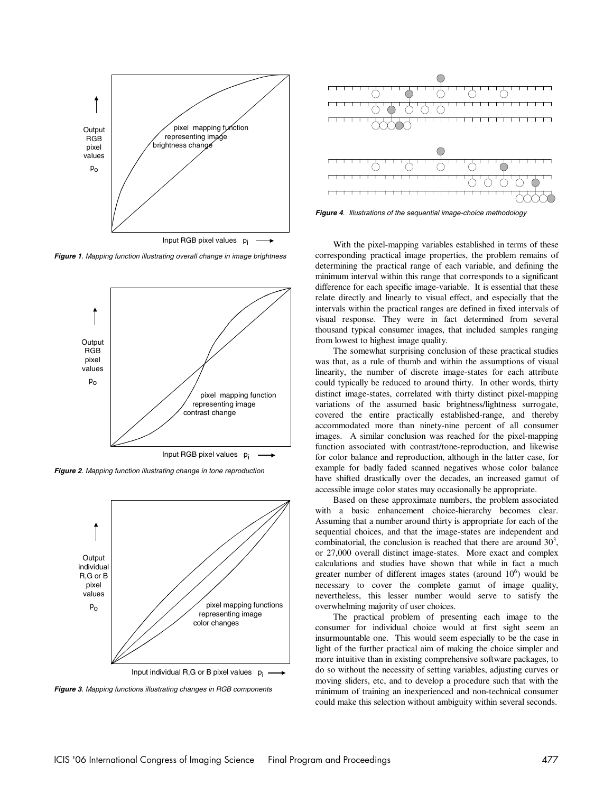

**Figure 1**. Mapping function illustrating overall change in image brightness



**Figure 2**. Mapping function illustrating change in tone reproduction



**Figure 3**. Mapping functions illustrating changes in RGB components



**Figure 4**. Illustrations of the sequential image-choice methodology

With the pixel-mapping variables established in terms of these corresponding practical image properties, the problem remains of determining the practical range of each variable, and defining the minimum interval within this range that corresponds to a significant difference for each specific image-variable. It is essential that these relate directly and linearly to visual effect, and especially that the intervals within the practical ranges are defined in fixed intervals of visual response. They were in fact determined from several thousand typical consumer images, that included samples ranging from lowest to highest image quality.

The somewhat surprising conclusion of these practical studies was that, as a rule of thumb and within the assumptions of visual linearity, the number of discrete image-states for each attribute could typically be reduced to around thirty. In other words, thirty distinct image-states, correlated with thirty distinct pixel-mapping variations of the assumed basic brightness/lightness surrogate, covered the entire practically established-range, and thereby accommodated more than ninety-nine percent of all consumer images. A similar conclusion was reached for the pixel-mapping function associated with contrast/tone-reproduction, and likewise for color balance and reproduction, although in the latter case, for example for badly faded scanned negatives whose color balance have shifted drastically over the decades, an increased gamut of accessible image color states may occasionally be appropriate.

Based on these approximate numbers, the problem associated with a basic enhancement choice-hierarchy becomes clear. Assuming that a number around thirty is appropriate for each of the sequential choices, and that the image-states are independent and combinatorial, the conclusion is reached that there are around  $30<sup>3</sup>$ , or 27,000 overall distinct image-states. More exact and complex calculations and studies have shown that while in fact a much greater number of different images states (around  $10<sup>6</sup>$ ) would be necessary to cover the complete gamut of image quality, nevertheless, this lesser number would serve to satisfy the overwhelming majority of user choices.

The practical problem of presenting each image to the consumer for individual choice would at first sight seem an insurmountable one. This would seem especially to be the case in light of the further practical aim of making the choice simpler and more intuitive than in existing comprehensive software packages, to do so without the necessity of setting variables, adjusting curves or moving sliders, etc, and to develop a procedure such that with the minimum of training an inexperienced and non-technical consumer could make this selection without ambiguity within several seconds.